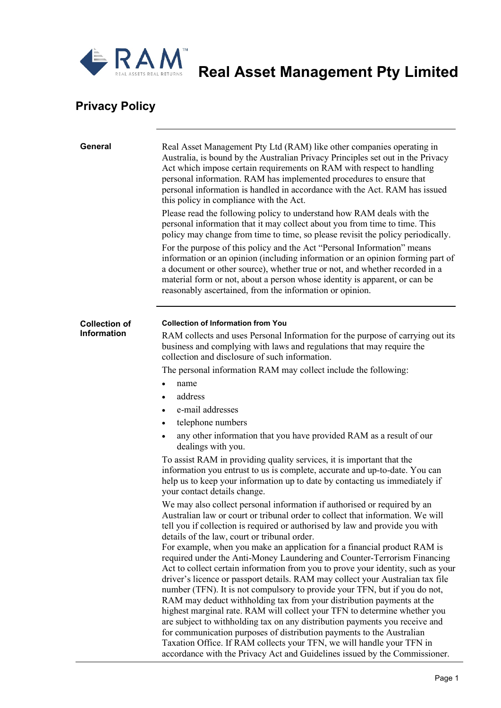

**RAM** Real Asset Management Pty Limited

## **Privacy Policy**

| General                                    | Real Asset Management Pty Ltd (RAM) like other companies operating in<br>Australia, is bound by the Australian Privacy Principles set out in the Privacy<br>Act which impose certain requirements on RAM with respect to handling<br>personal information. RAM has implemented procedures to ensure that<br>personal information is handled in accordance with the Act. RAM has issued<br>this policy in compliance with the Act.<br>Please read the following policy to understand how RAM deals with the<br>personal information that it may collect about you from time to time. This<br>policy may change from time to time, so please revisit the policy periodically.<br>For the purpose of this policy and the Act "Personal Information" means<br>information or an opinion (including information or an opinion forming part of<br>a document or other source), whether true or not, and whether recorded in a<br>material form or not, about a person whose identity is apparent, or can be<br>reasonably ascertained, from the information or opinion.                               |
|--------------------------------------------|-------------------------------------------------------------------------------------------------------------------------------------------------------------------------------------------------------------------------------------------------------------------------------------------------------------------------------------------------------------------------------------------------------------------------------------------------------------------------------------------------------------------------------------------------------------------------------------------------------------------------------------------------------------------------------------------------------------------------------------------------------------------------------------------------------------------------------------------------------------------------------------------------------------------------------------------------------------------------------------------------------------------------------------------------------------------------------------------------|
| <b>Collection of</b><br><b>Information</b> | <b>Collection of Information from You</b><br>RAM collects and uses Personal Information for the purpose of carrying out its<br>business and complying with laws and regulations that may require the<br>collection and disclosure of such information.<br>The personal information RAM may collect include the following:<br>name<br>address<br>$\bullet$<br>e-mail addresses<br>telephone numbers<br>$\bullet$<br>any other information that you have provided RAM as a result of our<br>$\bullet$<br>dealings with you.<br>To assist RAM in providing quality services, it is important that the<br>information you entrust to us is complete, accurate and up-to-date. You can<br>help us to keep your information up to date by contacting us immediately if<br>your contact details change.<br>We may also collect personal information if authorised or required by an                                                                                                                                                                                                                    |
|                                            | Australian law or court or tribunal order to collect that information. We will<br>tell you if collection is required or authorised by law and provide you with<br>details of the law, court or tribunal order.<br>For example, when you make an application for a financial product RAM is<br>required under the Anti-Money Laundering and Counter-Terrorism Financing<br>Act to collect certain information from you to prove your identity, such as your<br>driver's licence or passport details. RAM may collect your Australian tax file<br>number (TFN). It is not compulsory to provide your TFN, but if you do not,<br>RAM may deduct withholding tax from your distribution payments at the<br>highest marginal rate. RAM will collect your TFN to determine whether you<br>are subject to withholding tax on any distribution payments you receive and<br>for communication purposes of distribution payments to the Australian<br>Taxation Office. If RAM collects your TFN, we will handle your TFN in<br>accordance with the Privacy Act and Guidelines issued by the Commissioner. |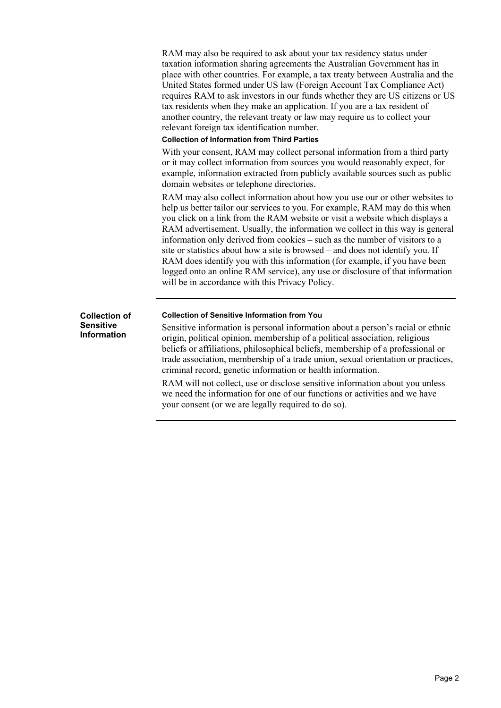RAM may also be required to ask about your tax residency status under taxation information sharing agreements the Australian Government has in place with other countries. For example, a tax treaty between Australia and the United States formed under US law (Foreign Account Tax Compliance Act) requires RAM to ask investors in our funds whether they are US citizens or US tax residents when they make an application. If you are a tax resident of another country, the relevant treaty or law may require us to collect your relevant foreign tax identification number. **Collection of Information from Third Parties** With your consent, RAM may collect personal information from a third party or it may collect information from sources you would reasonably expect, for example, information extracted from publicly available sources such as public domain websites or telephone directories. RAM may also collect information about how you use our or other websites to help us better tailor our services to you. For example, RAM may do this when you click on a link from the RAM website or visit a website which displays a RAM advertisement. Usually, the information we collect in this way is general information only derived from cookies – such as the number of visitors to a site or statistics about how a site is browsed – and does not identify you. If RAM does identify you with this information (for example, if you have been logged onto an online RAM service), any use or disclosure of that information will be in accordance with this Privacy Policy. **Collection of Sensitive Information Collection of Sensitive Information from You** Sensitive information is personal information about a person's racial or ethnic origin, political opinion, membership of a political association, religious

beliefs or affiliations, philosophical beliefs, membership of a professional or trade association, membership of a trade union, sexual orientation or practices, criminal record, genetic information or health information.

RAM will not collect, use or disclose sensitive information about you unless we need the information for one of our functions or activities and we have your consent (or we are legally required to do so).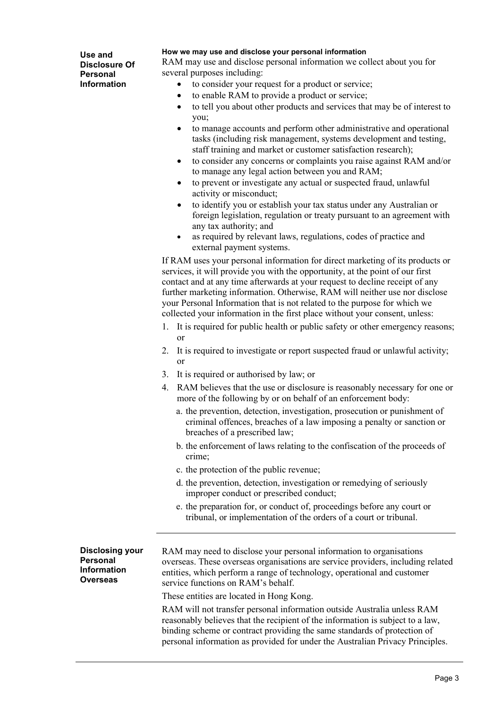**Use and Disclosure Of Personal Information**

## **How we may use and disclose your personal information**

RAM may use and disclose personal information we collect about you for several purposes including:

- to consider your request for a product or service;
- to enable RAM to provide a product or service;
- to tell you about other products and services that may be of interest to you;
- to manage accounts and perform other administrative and operational tasks (including risk management, systems development and testing, staff training and market or customer satisfaction research);
- to consider any concerns or complaints you raise against RAM and/or to manage any legal action between you and RAM;
- to prevent or investigate any actual or suspected fraud, unlawful activity or misconduct;
- to identify you or establish your tax status under any Australian or foreign legislation, regulation or treaty pursuant to an agreement with any tax authority; and
- as required by relevant laws, regulations, codes of practice and external payment systems.

If RAM uses your personal information for direct marketing of its products or services, it will provide you with the opportunity, at the point of our first contact and at any time afterwards at your request to decline receipt of any further marketing information. Otherwise, RAM will neither use nor disclose your Personal Information that is not related to the purpose for which we collected your information in the first place without your consent, unless:

- 1. It is required for public health or public safety or other emergency reasons; or
- 2. It is required to investigate or report suspected fraud or unlawful activity; or
- 3. It is required or authorised by law; or
- 4. RAM believes that the use or disclosure is reasonably necessary for one or more of the following by or on behalf of an enforcement body:
	- a. the prevention, detection, investigation, prosecution or punishment of criminal offences, breaches of a law imposing a penalty or sanction or breaches of a prescribed law;
	- b. the enforcement of laws relating to the confiscation of the proceeds of crime;
	- c. the protection of the public revenue;
	- d. the prevention, detection, investigation or remedying of seriously improper conduct or prescribed conduct;
	- e. the preparation for, or conduct of, proceedings before any court or tribunal, or implementation of the orders of a court or tribunal.

**Disclosing your Personal Information Overseas** RAM may need to disclose your personal information to organisations overseas. These overseas organisations are service providers, including related entities, which perform a range of technology, operational and customer service functions on RAM's behalf. These entities are located in Hong Kong. RAM will not transfer personal information outside Australia unless RAM reasonably believes that the recipient of the information is subject to a law, binding scheme or contract providing the same standards of protection of personal information as provided for under the Australian Privacy Principles.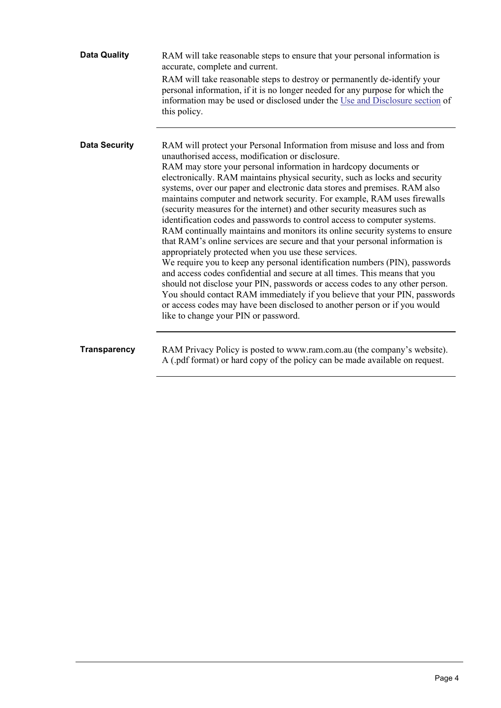| <b>Data Quality</b>  | RAM will take reasonable steps to ensure that your personal information is<br>accurate, complete and current.<br>RAM will take reasonable steps to destroy or permanently de-identify your<br>personal information, if it is no longer needed for any purpose for which the<br>information may be used or disclosed under the Use and Disclosure section of<br>this policy.                                                                                                                                                                                                                                                                                                                                                                                                                                                                                                                                                                                                                                                                                                                                                                                                                                                                                              |
|----------------------|--------------------------------------------------------------------------------------------------------------------------------------------------------------------------------------------------------------------------------------------------------------------------------------------------------------------------------------------------------------------------------------------------------------------------------------------------------------------------------------------------------------------------------------------------------------------------------------------------------------------------------------------------------------------------------------------------------------------------------------------------------------------------------------------------------------------------------------------------------------------------------------------------------------------------------------------------------------------------------------------------------------------------------------------------------------------------------------------------------------------------------------------------------------------------------------------------------------------------------------------------------------------------|
| <b>Data Security</b> | RAM will protect your Personal Information from misuse and loss and from<br>unauthorised access, modification or disclosure.<br>RAM may store your personal information in hardcopy documents or<br>electronically. RAM maintains physical security, such as locks and security<br>systems, over our paper and electronic data stores and premises. RAM also<br>maintains computer and network security. For example, RAM uses firewalls<br>(security measures for the internet) and other security measures such as<br>identification codes and passwords to control access to computer systems.<br>RAM continually maintains and monitors its online security systems to ensure<br>that RAM's online services are secure and that your personal information is<br>appropriately protected when you use these services.<br>We require you to keep any personal identification numbers (PIN), passwords<br>and access codes confidential and secure at all times. This means that you<br>should not disclose your PIN, passwords or access codes to any other person.<br>You should contact RAM immediately if you believe that your PIN, passwords<br>or access codes may have been disclosed to another person or if you would<br>like to change your PIN or password. |
| <b>Transparency</b>  | RAM Privacy Policy is posted to www.ram.com.au (the company's website).<br>A (.pdf format) or hard copy of the policy can be made available on request.                                                                                                                                                                                                                                                                                                                                                                                                                                                                                                                                                                                                                                                                                                                                                                                                                                                                                                                                                                                                                                                                                                                  |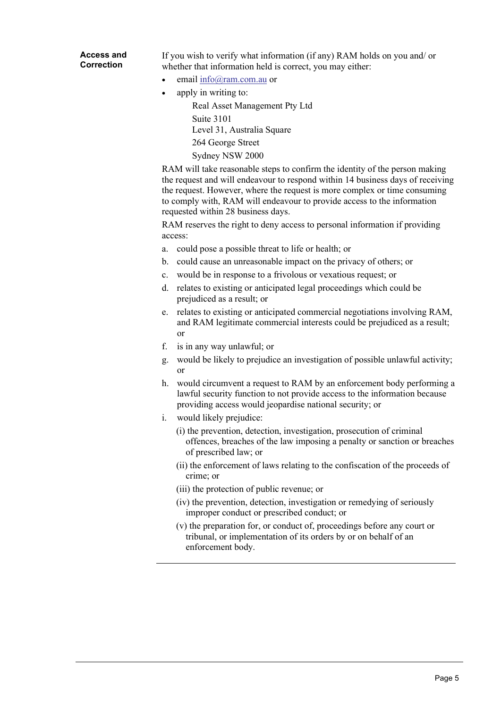## **Access and Correction**

If you wish to verify what information (if any) RAM holds on you and/ or whether that information held is correct, you may either:

- email [info@ram.com.au](mailto:info@ram.com.au) or
- apply in writing to:

Real Asset Management Pty Ltd Suite 3101 Level 31, Australia Square 264 George Street Sydney NSW 2000

RAM will take reasonable steps to confirm the identity of the person making the request and will endeavour to respond within 14 business days of receiving the request. However, where the request is more complex or time consuming to comply with, RAM will endeavour to provide access to the information requested within 28 business days.

RAM reserves the right to deny access to personal information if providing access:

- a. could pose a possible threat to life or health; or
- b. could cause an unreasonable impact on the privacy of others; or
- c. would be in response to a frivolous or vexatious request; or
- d. relates to existing or anticipated legal proceedings which could be prejudiced as a result; or
- e. relates to existing or anticipated commercial negotiations involving RAM, and RAM legitimate commercial interests could be prejudiced as a result; or
- f. is in any way unlawful; or
- g. would be likely to prejudice an investigation of possible unlawful activity; or
- h. would circumvent a request to RAM by an enforcement body performing a lawful security function to not provide access to the information because providing access would jeopardise national security; or
- i. would likely prejudice:
	- (i) the prevention, detection, investigation, prosecution of criminal offences, breaches of the law imposing a penalty or sanction or breaches of prescribed law; or
	- (ii) the enforcement of laws relating to the confiscation of the proceeds of crime; or
	- (iii) the protection of public revenue; or
	- (iv) the prevention, detection, investigation or remedying of seriously improper conduct or prescribed conduct; or
	- (v) the preparation for, or conduct of, proceedings before any court or tribunal, or implementation of its orders by or on behalf of an enforcement body.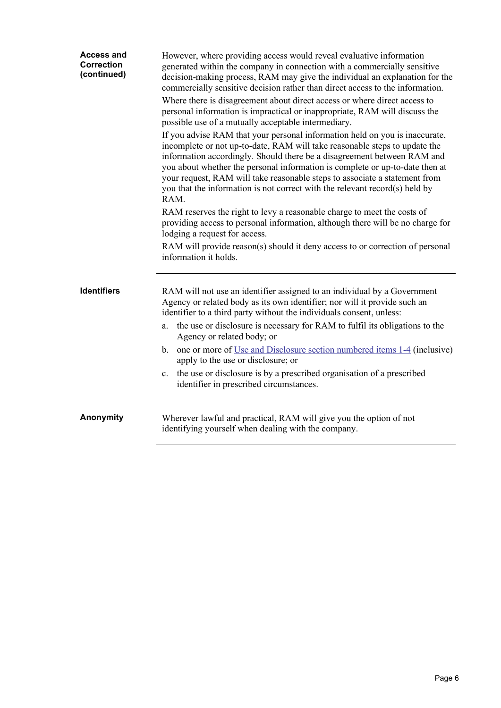| <b>Access and</b><br><b>Correction</b><br>(continued) | However, where providing access would reveal evaluative information<br>generated within the company in connection with a commercially sensitive<br>decision-making process, RAM may give the individual an explanation for the<br>commercially sensitive decision rather than direct access to the information.<br>Where there is disagreement about direct access or where direct access to                                                                                              |
|-------------------------------------------------------|-------------------------------------------------------------------------------------------------------------------------------------------------------------------------------------------------------------------------------------------------------------------------------------------------------------------------------------------------------------------------------------------------------------------------------------------------------------------------------------------|
|                                                       | personal information is impractical or inappropriate, RAM will discuss the<br>possible use of a mutually acceptable intermediary.                                                                                                                                                                                                                                                                                                                                                         |
|                                                       | If you advise RAM that your personal information held on you is inaccurate,<br>incomplete or not up-to-date, RAM will take reasonable steps to update the<br>information accordingly. Should there be a disagreement between RAM and<br>you about whether the personal information is complete or up-to-date then at<br>your request, RAM will take reasonable steps to associate a statement from<br>you that the information is not correct with the relevant record(s) held by<br>RAM. |
|                                                       | RAM reserves the right to levy a reasonable charge to meet the costs of<br>providing access to personal information, although there will be no charge for<br>lodging a request for access.                                                                                                                                                                                                                                                                                                |
|                                                       | RAM will provide reason(s) should it deny access to or correction of personal<br>information it holds.                                                                                                                                                                                                                                                                                                                                                                                    |
| <b>Identifiers</b>                                    | RAM will not use an identifier assigned to an individual by a Government<br>Agency or related body as its own identifier; nor will it provide such an<br>identifier to a third party without the individuals consent, unless:                                                                                                                                                                                                                                                             |
|                                                       | the use or disclosure is necessary for RAM to fulfil its obligations to the<br>a.<br>Agency or related body; or                                                                                                                                                                                                                                                                                                                                                                           |
|                                                       | b. one or more of Use and Disclosure section numbered items 1-4 (inclusive)<br>apply to the use or disclosure; or                                                                                                                                                                                                                                                                                                                                                                         |
|                                                       | the use or disclosure is by a prescribed organisation of a prescribed<br>c.<br>identifier in prescribed circumstances.                                                                                                                                                                                                                                                                                                                                                                    |
| Anonymity                                             | Wherever lawful and practical, RAM will give you the option of not<br>identifying yourself when dealing with the company.                                                                                                                                                                                                                                                                                                                                                                 |